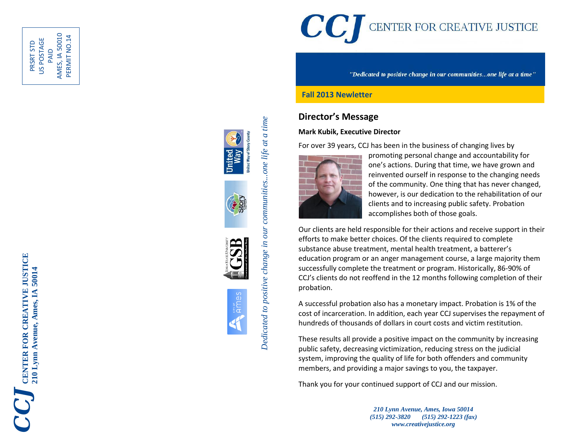

PAID<br>AMES, IA 50010 AMES, IA 50010 PERMIT NO.14 PERMIT NO.14US POSTAGE PRSRT STD









Dedicated to positive change in our communities...one life at a time *Dedicated to positive change in our communities...one life at a time*

# CCJ CENTER FOR CREATIVE JUSTICE

"Dedicated to positive change in our communities...one life at a time"

#### **Fall 2013 Newletter**

## **Director's Message**

#### **Mark Kubik, Executive Director**

For over 39 years, CCJ has been in the business of changing lives by



promoting personal change and accountability for one's actions. During that time, we have grown and reinvented ourself in response to the changing needs of the community. One thing that has never changed, however, is our dedication to the rehabilitation of our clients and to increasing public safety. Probation accomplishes both of those goals.

Our clients are held responsible for their actions and receive support in their efforts to make better choices. Of the clients required to complete substance abuse treatment, mental health treatment, a batterer's educ ation program or an anger management course , a large majority them successfully complete the treatment or program. Historically, 86 -90% of CCJ's clients do not reoffend in the 12 months following completion of their probation.

A successful probation also has a monetary impact. Probation is 1% of the cost of incarceration . In addition, each year CCJ supervises the repayment of hundreds of thousands of dollars in court costs and victim restitution.

These results all provide a positive impact on the community by increasing public safety, decreasing victimization, reducing stress on the judicial system , improving the quality of life for both offenders and community members, and providing a major savings to you, the taxpayer.

Thank you for your continued support of CCJ and our mission.

*210 Lynn Avenue, Ames, Iowa 50014 (515) 292 -3820 (515) 292 -1223 (fax) www.creativejustice.org*